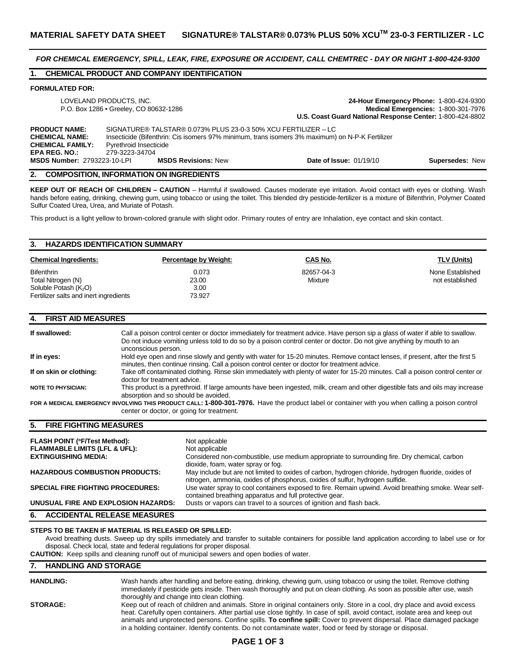*FOR CHEMICAL EMERGENCY, SPILL, LEAK, FIRE, EXPOSURE OR ACCIDENT, CALL CHEMTREC - DAY OR NIGHT 1-800-424-9300* 

# **1. CHEMICAL PRODUCT AND COMPANY IDENTIFICATION**

#### **FORMULATED FOR:**

| LOVELAND PRODUCTS, INC.<br>P.O. Box 1286 • Greeley, CO 80632-1286                                |                                                                                                                                                                                                               | 24-Hour Emergency Phone: 1-800-424-9300<br>Medical Emergencies: 1-800-301-7976<br>U.S. Coast Guard National Response Center: 1-800-424-8802 |                        |  |  |
|--------------------------------------------------------------------------------------------------|---------------------------------------------------------------------------------------------------------------------------------------------------------------------------------------------------------------|---------------------------------------------------------------------------------------------------------------------------------------------|------------------------|--|--|
| <b>PRODUCT NAME:</b><br><b>CHEMICAL NAME:</b><br><b>CHEMICAL FAMILY:</b><br><b>EPA REG. NO.:</b> | SIGNATURE® TALSTAR® 0.073% PLUS 23-0-3 50% XCU FERTILIZER - LC<br>Insecticide (Bifenthrin: Cis isomers 97% minimum, trans isomers 3% maximum) on N-P-K Fertilizer<br>Pyrethroid Insecticide<br>279-3223-34704 |                                                                                                                                             |                        |  |  |
| <b>MSDS Number: 2793223-10-LPI</b>                                                               | <b>MSDS Revisions: New</b>                                                                                                                                                                                    | <b>Date of Issue: 01/19/10</b>                                                                                                              | <b>Supersedes: New</b> |  |  |

#### **2. COMPOSITION, INFORMATION ON INGREDIENTS**

**KEEP OUT OF REACH OF CHILDREN – CAUTION** – Harmful if swallowed. Causes moderate eye irritation. Avoid contact with eyes or clothing. Wash hands before eating, drinking, chewing gum, using tobacco or using the toilet. This blended dry pesticide-fertilizer is a mixture of Bifenthrin, Polymer Coated Sulfur Coated Urea, Urea, and Muriate of Potash.

This product is a light yellow to brown-colored granule with slight odor. Primary routes of entry are Inhalation, eye contact and skin contact.

# **3. HAZARDS IDENTIFICATION SUMMARY Chemical Ingredients:** Percentage by Weight: CAS No. CAS No. TLV (Units) Bifenthrin 0.073 82657-04-3 None Established Total Nitrogen (N) and the control of the 23.00 control of the Mixture not established and the control of established Soluble Potash (K<sub>2</sub>O) 3.00<br>
Fertilizer salts and inert ingredients 3.927 Fertilizer salts and inert ingredients

## **4. FIRST AID MEASURES**

| If swallowed:             | Call a poison control center or doctor immediately for treatment advice. Have person sip a glass of water if able to swallow.<br>Do not induce vomiting unless told to do so by a poison control center or doctor. Do not give anything by mouth to an<br>unconscious person. |
|---------------------------|-------------------------------------------------------------------------------------------------------------------------------------------------------------------------------------------------------------------------------------------------------------------------------|
| If in eyes:               | Hold eye open and rinse slowly and gently with water for 15-20 minutes. Remove contact lenses, if present, after the first 5<br>minutes, then continue rinsing. Call a poison control center or doctor for treatment advice.                                                  |
| If on skin or clothing:   | Take off contaminated clothing. Rinse skin immediately with plenty of water for 15-20 minutes. Call a poison control center or<br>doctor for treatment advice.                                                                                                                |
| <b>NOTE TO PHYSICIAN:</b> | This product is a pyrethroid. If large amounts have been ingested, milk, cream and other digestible fats and oils may increase<br>absorption and so should be avoided.                                                                                                        |
|                           | FOR A MEDICAL EMERGENCY INVOLVING THIS PRODUCT CALL: 1-800-301-7976. Have the product label or container with you when calling a poison control<br>center or doctor, or going for treatment.                                                                                  |

### **5. FIRE FIGHTING MEASURES**

| <b>FLASH POINT (°F/Test Method):</b>     | Not applicable                                                                                                                                                                       |
|------------------------------------------|--------------------------------------------------------------------------------------------------------------------------------------------------------------------------------------|
| <b>FLAMMABLE LIMITS (LFL &amp; UFL):</b> | Not applicable                                                                                                                                                                       |
| <b>EXTINGUISHING MEDIA:</b>              | Considered non-combustible, use medium appropriate to surrounding fire. Dry chemical, carbon<br>dioxide, foam, water spray or fog.                                                   |
| <b>HAZARDOUS COMBUSTION PRODUCTS:</b>    | May include but are not limited to oxides of carbon, hydrogen chloride, hydrogen fluoride, oxides of<br>nitrogen, ammonia, oxides of phosphorus, oxides of sulfur, hydrogen sulfide. |
| <b>SPECIAL FIRE FIGHTING PROCEDURES:</b> | Use water spray to cool containers exposed to fire. Remain upwind. Avoid breathing smoke. Wear self-<br>contained breathing apparatus and full protective gear.                      |
| UNUSUAL FIRE AND EXPLOSION HAZARDS:      | Dusts or vapors can travel to a sources of ignition and flash back.                                                                                                                  |
| <b>ACCIDENTAL RELEASE MEASURES</b><br>6. |                                                                                                                                                                                      |

## **STEPS TO BE TAKEN IF MATERIAL IS RELEASED OR SPILLED:**

Avoid breathing dusts. Sweep up dry spills immediately and transfer to suitable containers for possible land application according to label use or for disposal. Check local, state and federal regulations for proper disposal.

**CAUTION:** Keep spills and cleaning runoff out of municipal sewers and open bodies of water.

## **7. HANDLING AND STORAGE**

| <b>HANDLING:</b> | Wash hands after handling and before eating, drinking, chewing gum, using tobacco or using the toilet. Remove clothing<br>immediately if pesticide gets inside. Then wash thoroughly and put on clean clothing. As soon as possible after use, wash |
|------------------|-----------------------------------------------------------------------------------------------------------------------------------------------------------------------------------------------------------------------------------------------------|
|                  | thoroughly and change into clean clothing.                                                                                                                                                                                                          |
| <b>STORAGE:</b>  | Keep out of reach of children and animals. Store in original containers only. Store in a cool, dry place and avoid excess                                                                                                                           |
|                  | heat. Carefully open containers. After partial use close tightly. In case of spill, avoid contact, isolate area and keep out                                                                                                                        |
|                  | animals and unprotected persons. Confine spills. To confine spill: Cover to prevent dispersal. Place damaged package                                                                                                                                |
|                  | in a holding container. Identify contents. Do not contaminate water, food or feed by storage or disposal.                                                                                                                                           |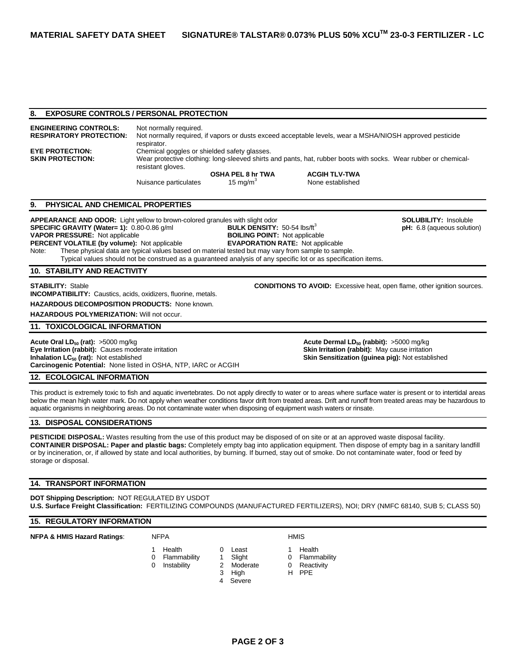## **8. EXPOSURE CONTROLS / PERSONAL PROTECTION**

**ENGINEERING CONTROLS:** Not normally required. **RESPIRATORY PROTECTION:** Not normally required, if vapors or dusts exceed acceptable levels, wear a MSHA/NIOSH approved pesticide respirator. **EYE PROTECTION:** Chemical goggles or shielded safety glasses. **SKIN PROTECTION:** Wear protective clothing: long-sleeved shirts and pants, hat, rubber boots with socks. Wear rubber or chemicalresistant gloves. **OSHA PEL 8 hr TWA ACGIH TLV-TWA** Nuisance particulates  $15 \text{ mg/m}^3$ None established

## **9. PHYSICAL AND CHEMICAL PROPERTIES**

APPEARANCE AND ODOR: Light yellow to brown-colored granules with slight odor **SOLUBILITY: Insoluble** SOLUBILITY: Insoluble **SPECIFIC GRAVITY (Water= 1):** 0.80-0.86 g/ml **BULK DENSITY:** 50-54 lbs/ft<sup>3</sup> **pH:** 6.8 (aqueous solution) **PH:** 6.8 (aqueous solution) **BOILING POINT:** Not applicable **VAPOR PRESSURE:** Not applicable **PERCENT VOLATILE (by volume):** Not applicable **EVAPORATION RATE:** Not applicable Note: These physical data are typical values based on material tested but may vary from sample to sample. Typical values should not be construed as a guaranteed analysis of any specific lot or as specification items.

**10. STABILITY AND REACTIVITY** 

**STABILITY:** Stable **CONDITIONS TO AVOID:** Excessive heat, open flame, other ignition sources. **INCOMPATIBILITY:** Caustics, acids, oxidizers, fluorine, metals.

**HAZARDOUS DECOMPOSITION PRODUCTS:** None known.

**HAZARDOUS POLYMERIZATION:** Will not occur.

### **11. TOXICOLOGICAL INFORMATION**

**Acute Oral LD<sub>50</sub> (rat):** >5000 mg/kg **Acute Dermal LD<sub>50</sub> (rabbit):** >5000 mg/kg **Acute Dermal LD<sub>50</sub> (rabbit):**  $\geq$ 5000 mg/kg **Eye Irritation (rabbit):** Causes moderate irritation **Skin Irritation (rabbit):** May cause irritation **Inhalation LC<sub>50</sub> (rat):** Not established **Skin Sensitization (guinea pig):** Not established **Carcinogenic Potential:** None listed in OSHA, NTP, IARC or ACGIH

## **12. ECOLOGICAL INFORMATION**

This product is extremely toxic to fish and aquatic invertebrates. Do not apply directly to water or to areas where surface water is present or to intertidal areas below the mean high water mark. Do not apply when weather conditions favor drift from treated areas. Drift and runoff from treated areas may be hazardous to aquatic organisms in neighboring areas. Do not contaminate water when disposing of equipment wash waters or rinsate.

### **13. DISPOSAL CONSIDERATIONS**

**PESTICIDE DISPOSAL:** Wastes resulting from the use of this product may be disposed of on site or at an approved waste disposal facility. **CONTAINER DISPOSAL: Paper and plastic bags:** Completely empty bag into application equipment. Then dispose of empty bag in a sanitary landfill or by incineration, or, if allowed by state and local authorities, by burning. If burned, stay out of smoke. Do not contaminate water, food or feed by storage or disposal.

## **14. TRANSPORT INFORMATION**

**DOT Shipping Description:** NOT REGULATED BY USDOT **U.S. Surface Freight Classification:** FERTILIZING COMPOUNDS (MANUFACTURED FERTILIZERS), NOI; DRY (NMFC 68140, SUB 5; CLASS 50)

## **15. REGULATORY INFORMATION**

**NFPA & HMIS Hazard Ratings:** NFPA **HMIS** 

- -
- 
- 0 Flammability 1 Slight 0 Flammability<br>0 Instability 1 2 Moderate 0 Reactivity
- 3 High H PPE
- 4 Severe
	- **PAGE 2 OF 3**
- 
- 1 Health **0** Least 1 Health
	- **Reactivity**
	-
	-